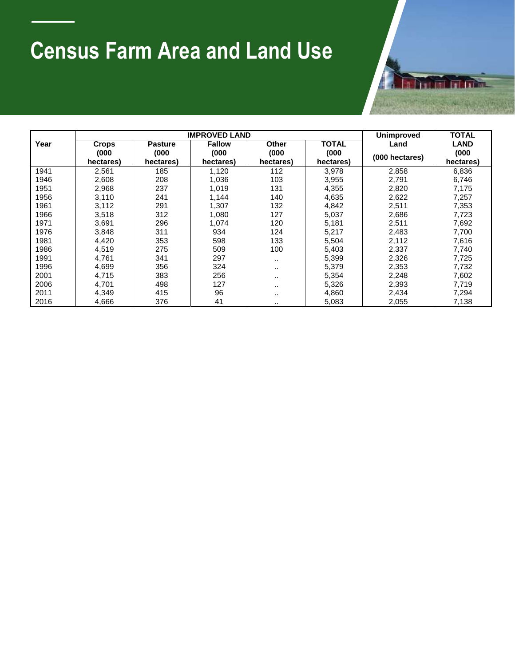## **Census Farm Area and Land Use**



|      |                    | <b>IMPROVED LAND</b> | <b>Unimproved</b>  | <b>TOTAL</b>       |                    |                |                    |
|------|--------------------|----------------------|--------------------|--------------------|--------------------|----------------|--------------------|
| Year | <b>Crops</b>       | <b>Pasture</b>       | <b>Fallow</b>      | Other              | <b>TOTAL</b>       | Land           | <b>LAND</b>        |
|      | (000)<br>hectares) | (000)<br>hectares)   | (000)<br>hectares) | (000)<br>hectares) | (000)<br>hectares) | (000 hectares) | (000)<br>hectares) |
| 1941 | 2,561              | 185                  | 1,120              | 112                | 3,978              | 2,858          | 6,836              |
| 1946 | 2,608              | 208                  | 1.036              | 103                | 3,955              | 2,791          | 6,746              |
| 1951 | 2,968              | 237                  | 1,019              | 131                | 4,355              | 2,820          | 7,175              |
| 1956 | 3.110              | 241                  | 1.144              | 140                | 4,635              | 2,622          | 7,257              |
| 1961 | 3,112              | 291                  | 1,307              | 132                | 4,842              | 2,511          | 7,353              |
| 1966 | 3,518              | 312                  | 1.080              | 127                | 5,037              | 2,686          | 7,723              |
| 1971 | 3.691              | 296                  | 1,074              | 120                | 5,181              | 2,511          | 7,692              |
| 1976 | 3,848              | 311                  | 934                | 124                | 5,217              | 2,483          | 7,700              |
| 1981 | 4,420              | 353                  | 598                | 133                | 5,504              | 2,112          | 7,616              |
| 1986 | 4,519              | 275                  | 509                | 100                | 5,403              | 2,337          | 7,740              |
| 1991 | 4,761              | 341                  | 297                |                    | 5,399              | 2,326          | 7,725              |
| 1996 | 4,699              | 356                  | 324                |                    | 5,379              | 2,353          | 7,732              |
| 2001 | 4,715              | 383                  | 256                |                    | 5,354              | 2,248          | 7,602              |
| 2006 | 4,701              | 498                  | 127                |                    | 5,326              | 2,393          | 7,719              |
| 2011 | 4,349              | 415                  | 96                 |                    | 4,860              | 2,434          | 7,294              |
| 2016 | 4,666              | 376                  | 41                 |                    | 5,083              | 2,055          | 7,138              |